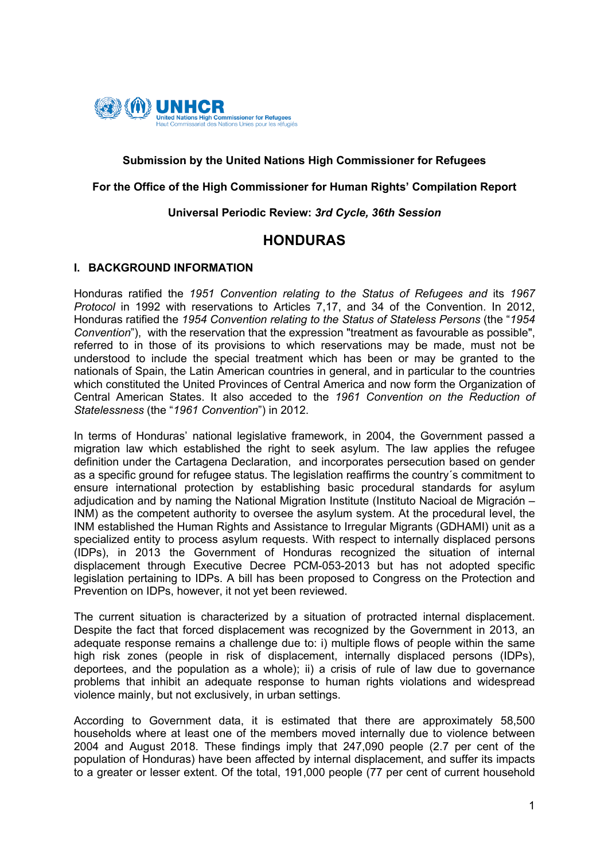

### **Submission by the United Nations High Commissioner for Refugees**

### **For the Office of the High Commissioner for Human Rights' Compilation Report**

### **Universal Periodic Review:** *3rd Cycle, 36th Session*

# **HONDURAS**

### **I. BACKGROUND INFORMATION**

Honduras ratified the *1951 Convention relating to the Status of Refugees and* its *1967 Protocol* in 1992 with reservations to Articles 7,17, and 34 of the Convention. In 2012, Honduras ratified the *1954 Convention relating to the Status of Stateless Persons* (the "*1954 Convention*"), with the reservation that the expression "treatment as favourable as possible", referred to in those of its provisions to which reservations may be made, must not be understood to include the special treatment which has been or may be granted to the nationals of Spain, the Latin American countries in general, and in particular to the countries which constituted the United Provinces of Central America and now form the Organization of Central American States. It also acceded to the *1961 Convention on the Reduction of Statelessness* (the "*1961 Convention*") in 2012.

In terms of Honduras' national legislative framework, in 2004, the Government passed a migration law which established the right to seek asylum. The law applies the refugee definition under the Cartagena Declaration, and incorporates persecution based on gender as a specific ground for refugee status. The legislation reaffirms the country´s commitment to ensure international protection by establishing basic procedural standards for asylum adjudication and by naming the National Migration Institute (Instituto Nacioal de Migración – INM) as the competent authority to oversee the asylum system. At the procedural level, the INM established the Human Rights and Assistance to Irregular Migrants (GDHAMI) unit as a specialized entity to process asylum requests. With respect to internally displaced persons (IDPs), in 2013 the Government of Honduras recognized the situation of internal displacement through Executive Decree PCM-053-2013 but has not adopted specific legislation pertaining to IDPs. A bill has been proposed to Congress on the Protection and Prevention on IDPs, however, it not yet been reviewed.

The current situation is characterized by a situation of protracted internal displacement. Despite the fact that forced displacement was recognized by the Government in 2013, an adequate response remains a challenge due to: i) multiple flows of people within the same high risk zones (people in risk of displacement, internally displaced persons (IDPs), deportees, and the population as a whole); ii) a crisis of rule of law due to governance problems that inhibit an adequate response to human rights violations and widespread violence mainly, but not exclusively, in urban settings.

According to Government data, it is estimated that there are approximately 58,500 households where at least one of the members moved internally due to violence between 2004 and August 2018. These findings imply that 247,090 people (2.7 per cent of the population of Honduras) have been affected by internal displacement, and suffer its impacts to a greater or lesser extent. Of the total, 191,000 people (77 per cent of current household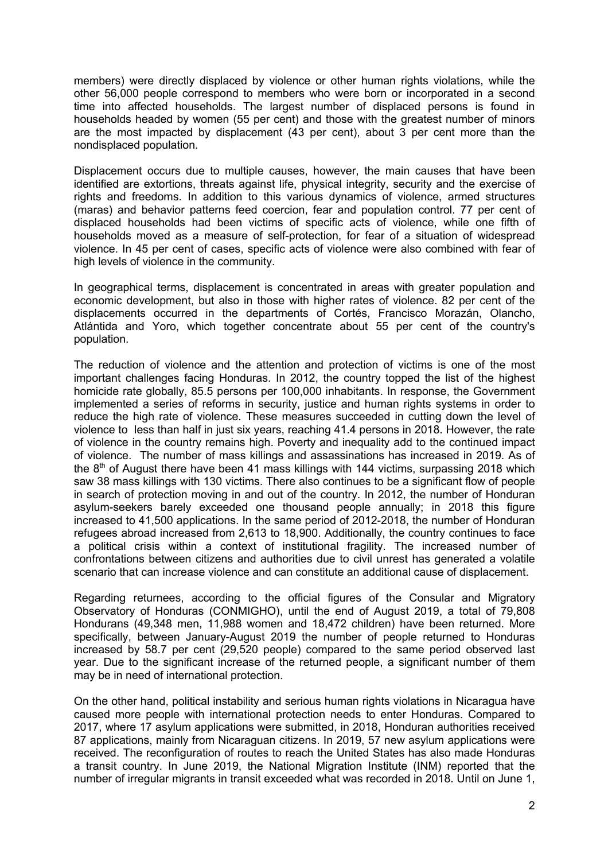members) were directly displaced by violence or other human rights violations, while the other 56,000 people correspond to members who were born or incorporated in a second time into affected households. The largest number of displaced persons is found in households headed by women (55 per cent) and those with the greatest number of minors are the most impacted by displacement (43 per cent), about 3 per cent more than the nondisplaced population.

Displacement occurs due to multiple causes, however, the main causes that have been identified are extortions, threats against life, physical integrity, security and the exercise of rights and freedoms. In addition to this various dynamics of violence, armed structures (maras) and behavior patterns feed coercion, fear and population control. 77 per cent of displaced households had been victims of specific acts of violence, while one fifth of households moved as a measure of self-protection, for fear of a situation of widespread violence. In 45 per cent of cases, specific acts of violence were also combined with fear of high levels of violence in the community.

In geographical terms, displacement is concentrated in areas with greater population and economic development, but also in those with higher rates of violence. 82 per cent of the displacements occurred in the departments of Cortés, Francisco Morazán, Olancho, Atlántida and Yoro, which together concentrate about 55 per cent of the country's population.

The reduction of violence and the attention and protection of victims is one of the most important challenges facing Honduras. In 2012, the country topped the list of the highest homicide rate globally, 85.5 persons per 100,000 inhabitants. In response, the Government implemented a series of reforms in security, justice and human rights systems in order to reduce the high rate of violence. These measures succeeded in cutting down the level of violence to less than half in just six years, reaching 41.4 persons in 2018. However, the rate of violence in the country remains high. Poverty and inequality add to the continued impact of violence. The number of mass killings and assassinations has increased in 2019. As of the  $8<sup>th</sup>$  of August there have been 41 mass killings with 144 victims, surpassing 2018 which saw 38 mass killings with 130 victims. There also continues to be a significant flow of people in search of protection moving in and out of the country. In 2012, the number of Honduran asylum-seekers barely exceeded one thousand people annually; in 2018 this figure increased to 41,500 applications. In the same period of 2012-2018, the number of Honduran refugees abroad increased from 2,613 to 18,900. Additionally, the country continues to face a political crisis within a context of institutional fragility. The increased number of confrontations between citizens and authorities due to civil unrest has generated a volatile scenario that can increase violence and can constitute an additional cause of displacement.

Regarding returnees, according to the official figures of the Consular and Migratory Observatory of Honduras (CONMIGHO), until the end of August 2019, a total of 79,808 Hondurans (49,348 men, 11,988 women and 18,472 children) have been returned. More specifically, between January-August 2019 the number of people returned to Honduras increased by 58.7 per cent (29,520 people) compared to the same period observed last year. Due to the significant increase of the returned people, a significant number of them may be in need of international protection.

On the other hand, political instability and serious human rights violations in Nicaragua have caused more people with international protection needs to enter Honduras. Compared to 2017, where 17 asylum applications were submitted, in 2018, Honduran authorities received 87 applications, mainly from Nicaraguan citizens. In 2019, 57 new asylum applications were received. The reconfiguration of routes to reach the United States has also made Honduras a transit country. In June 2019, the National Migration Institute (INM) reported that the number of irregular migrants in transit exceeded what was recorded in 2018. Until on June 1,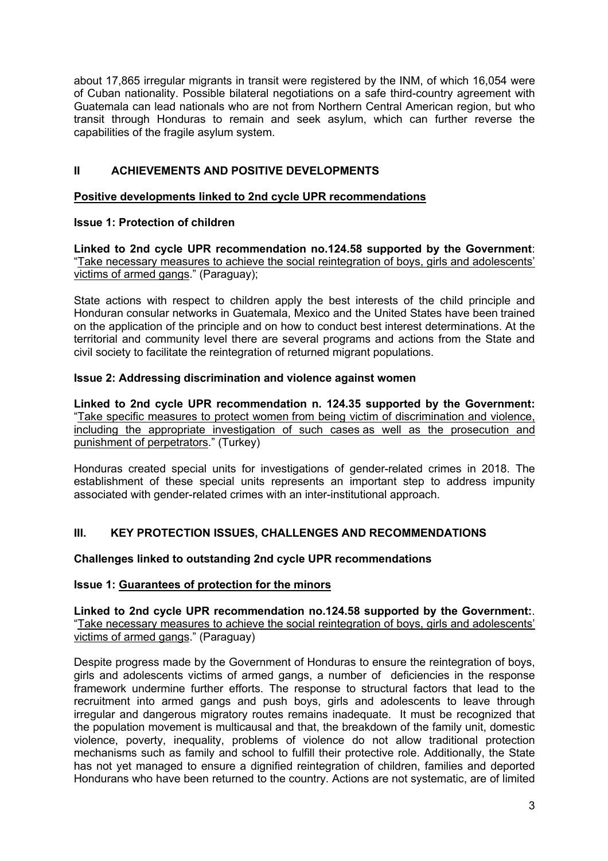about 17,865 irregular migrants in transit were registered by the INM, of which 16,054 were of Cuban nationality. Possible bilateral negotiations on a safe third-country agreement with Guatemala can lead nationals who are not from Northern Central American region, but who transit through Honduras to remain and seek asylum, which can further reverse the capabilities of the fragile asylum system.

# **II ACHIEVEMENTS AND POSITIVE DEVELOPMENTS**

## **Positive developments linked to 2nd cycle UPR recommendations**

## **Issue 1: Protection of children**

**Linked to 2nd cycle UPR recommendation no.124.58 supported by the Government**: "Take necessary measures to achieve the social reintegration of boys, girls and adolescents' victims of armed gangs." (Paraguay);

State actions with respect to children apply the best interests of the child principle and Honduran consular networks in Guatemala, Mexico and the United States have been trained on the application of the principle and on how to conduct best interest determinations. At the territorial and community level there are several programs and actions from the State and civil society to facilitate the reintegration of returned migrant populations.

## **Issue 2: Addressing discrimination and violence against women**

**Linked to 2nd cycle UPR recommendation n. 124.35 supported by the Government:** "Take specific measures to protect women from being victim of discrimination and violence, including the appropriate investigation of such cases as well as the prosecution and punishment of perpetrators." (Turkey)

Honduras created special units for investigations of gender-related crimes in 2018. The establishment of these special units represents an important step to address impunity associated with gender-related crimes with an inter-institutional approach.

# **III. KEY PROTECTION ISSUES, CHALLENGES AND RECOMMENDATIONS**

# **Challenges linked to outstanding 2nd cycle UPR recommendations**

### **Issue 1: Guarantees of protection for the minors**

**Linked to 2nd cycle UPR recommendation no.124.58 supported by the Government:**. "Take necessary measures to achieve the social reintegration of boys, girls and adolescents' victims of armed gangs." (Paraguay)

Despite progress made by the Government of Honduras to ensure the reintegration of boys, girls and adolescents victims of armed gangs, a number of deficiencies in the response framework undermine further efforts. The response to structural factors that lead to the recruitment into armed gangs and push boys, girls and adolescents to leave through irregular and dangerous migratory routes remains inadequate. It must be recognized that the population movement is multicausal and that, the breakdown of the family unit, domestic violence, poverty, inequality, problems of violence do not allow traditional protection mechanisms such as family and school to fulfill their protective role. Additionally, the State has not yet managed to ensure a dignified reintegration of children, families and deported Hondurans who have been returned to the country. Actions are not systematic, are of limited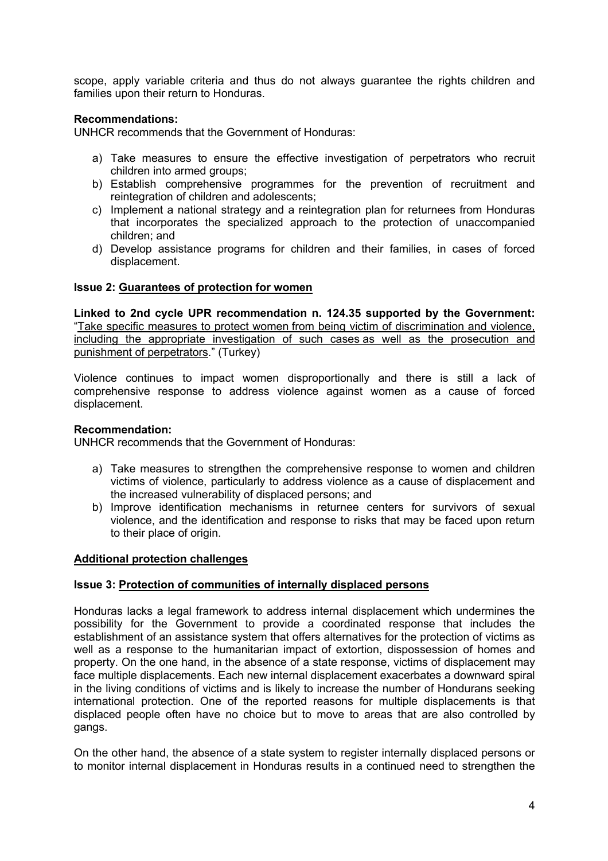scope, apply variable criteria and thus do not always guarantee the rights children and families upon their return to Honduras.

### **Recommendations:**

UNHCR recommends that the Government of Honduras:

- a) Take measures to ensure the effective investigation of perpetrators who recruit children into armed groups;
- b) Establish comprehensive programmes for the prevention of recruitment and reintegration of children and adolescents;
- c) Implement a national strategy and a reintegration plan for returnees from Honduras that incorporates the specialized approach to the protection of unaccompanied children; and
- d) Develop assistance programs for children and their families, in cases of forced displacement.

### **Issue 2: Guarantees of protection for women**

**Linked to 2nd cycle UPR recommendation n. 124.35 supported by the Government:** "Take specific measures to protect women from being victim of discrimination and violence, including the appropriate investigation of such cases as well as the prosecution and punishment of perpetrators." (Turkey)

Violence continues to impact women disproportionally and there is still a lack of comprehensive response to address violence against women as a cause of forced displacement.

#### **Recommendation:**

UNHCR recommends that the Government of Honduras:

- a) Take measures to strengthen the comprehensive response to women and children victims of violence, particularly to address violence as a cause of displacement and the increased vulnerability of displaced persons; and
- b) Improve identification mechanisms in returnee centers for survivors of sexual violence, and the identification and response to risks that may be faced upon return to their place of origin.

### **Additional protection challenges**

#### **Issue 3: Protection of communities of internally displaced persons**

Honduras lacks a legal framework to address internal displacement which undermines the possibility for the Government to provide a coordinated response that includes the establishment of an assistance system that offers alternatives for the protection of victims as well as a response to the humanitarian impact of extortion, dispossession of homes and property. On the one hand, in the absence of a state response, victims of displacement may face multiple displacements. Each new internal displacement exacerbates a downward spiral in the living conditions of victims and is likely to increase the number of Hondurans seeking international protection. One of the reported reasons for multiple displacements is that displaced people often have no choice but to move to areas that are also controlled by gangs.

On the other hand, the absence of a state system to register internally displaced persons or to monitor internal displacement in Honduras results in a continued need to strengthen the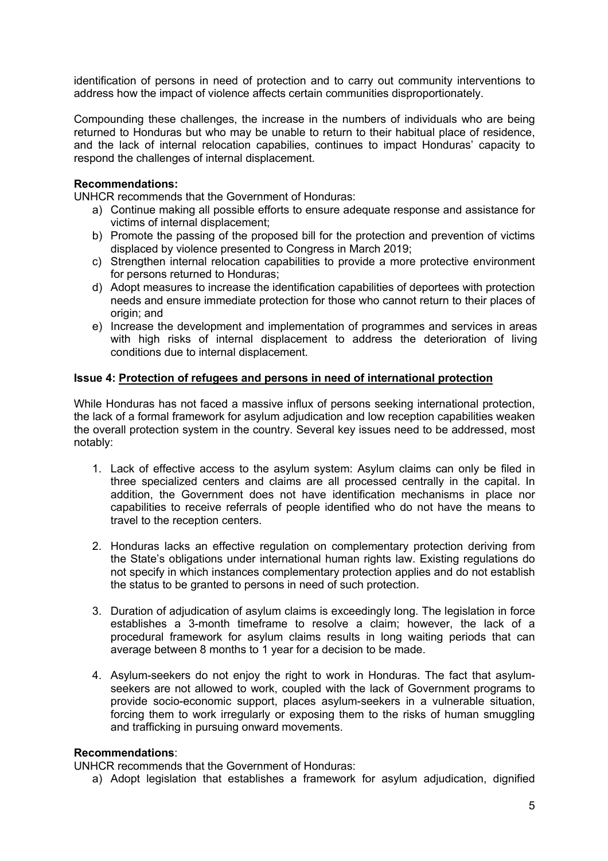identification of persons in need of protection and to carry out community interventions to address how the impact of violence affects certain communities disproportionately.

Compounding these challenges, the increase in the numbers of individuals who are being returned to Honduras but who may be unable to return to their habitual place of residence, and the lack of internal relocation capabilies, continues to impact Honduras' capacity to respond the challenges of internal displacement.

### **Recommendations:**

UNHCR recommends that the Government of Honduras:

- a) Continue making all possible efforts to ensure adequate response and assistance for victims of internal displacement;
- b) Promote the passing of the proposed bill for the protection and prevention of victims displaced by violence presented to Congress in March 2019;
- c) Strengthen internal relocation capabilities to provide a more protective environment for persons returned to Honduras;
- d) Adopt measures to increase the identification capabilities of deportees with protection needs and ensure immediate protection for those who cannot return to their places of origin; and
- e) Increase the development and implementation of programmes and services in areas with high risks of internal displacement to address the deterioration of living conditions due to internal displacement.

### **Issue 4: Protection of refugees and persons in need of international protection**

While Honduras has not faced a massive influx of persons seeking international protection, the lack of a formal framework for asylum adjudication and low reception capabilities weaken the overall protection system in the country. Several key issues need to be addressed, most notably:

- 1. Lack of effective access to the asylum system: Asylum claims can only be filed in three specialized centers and claims are all processed centrally in the capital. In addition, the Government does not have identification mechanisms in place nor capabilities to receive referrals of people identified who do not have the means to travel to the reception centers.
- 2. Honduras lacks an effective regulation on complementary protection deriving from the State's obligations under international human rights law. Existing regulations do not specify in which instances complementary protection applies and do not establish the status to be granted to persons in need of such protection.
- 3. Duration of adjudication of asylum claims is exceedingly long. The legislation in force establishes a 3-month timeframe to resolve a claim; however, the lack of a procedural framework for asylum claims results in long waiting periods that can average between 8 months to 1 year for a decision to be made.
- 4. Asylum-seekers do not enjoy the right to work in Honduras. The fact that asylumseekers are not allowed to work, coupled with the lack of Government programs to provide socio-economic support, places asylum-seekers in a vulnerable situation, forcing them to work irregularly or exposing them to the risks of human smuggling and trafficking in pursuing onward movements.

#### **Recommendations**:

UNHCR recommends that the Government of Honduras:

a) Adopt legislation that establishes a framework for asylum adjudication, dignified